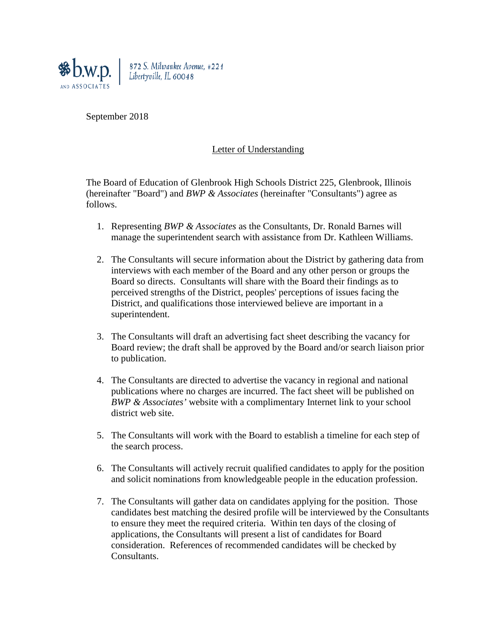

872 S. Milwaukee Avenue, #221 Libertyville, IL 60048

September 2018

## Letter of Understanding

The Board of Education of Glenbrook High Schools District 225, Glenbrook, Illinois (hereinafter "Board") and *BWP & Associates* (hereinafter "Consultants") agree as follows.

- 1. Representing *BWP & Associates* as the Consultants, Dr. Ronald Barnes will manage the superintendent search with assistance from Dr. Kathleen Williams.
- 2. The Consultants will secure information about the District by gathering data from interviews with each member of the Board and any other person or groups the Board so directs. Consultants will share with the Board their findings as to perceived strengths of the District, peoples' perceptions of issues facing the District, and qualifications those interviewed believe are important in a superintendent.
- 3. The Consultants will draft an advertising fact sheet describing the vacancy for Board review; the draft shall be approved by the Board and/or search liaison prior to publication.
- 4. The Consultants are directed to advertise the vacancy in regional and national publications where no charges are incurred. The fact sheet will be published on *BWP & Associates'* website with a complimentary Internet link to your school district web site.
- 5. The Consultants will work with the Board to establish a timeline for each step of the search process.
- 6. The Consultants will actively recruit qualified candidates to apply for the position and solicit nominations from knowledgeable people in the education profession.
- 7. The Consultants will gather data on candidates applying for the position. Those candidates best matching the desired profile will be interviewed by the Consultants to ensure they meet the required criteria. Within ten days of the closing of applications, the Consultants will present a list of candidates for Board consideration. References of recommended candidates will be checked by Consultants.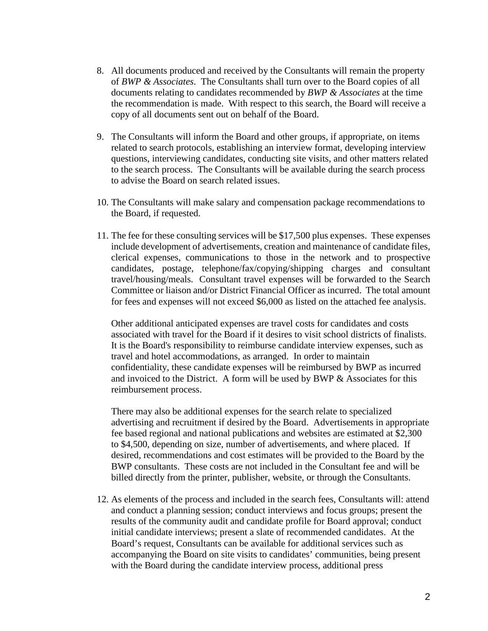- 8. All documents produced and received by the Consultants will remain the property of *BWP & Associates*. The Consultants shall turn over to the Board copies of all documents relating to candidates recommended by *BWP & Associates* at the time the recommendation is made. With respect to this search, the Board will receive a copy of all documents sent out on behalf of the Board.
- 9. The Consultants will inform the Board and other groups, if appropriate, on items related to search protocols, establishing an interview format, developing interview questions, interviewing candidates, conducting site visits, and other matters related to the search process. The Consultants will be available during the search process to advise the Board on search related issues.
- 10. The Consultants will make salary and compensation package recommendations to the Board, if requested.
- 11. The fee for these consulting services will be \$17,500 plus expenses. These expenses include development of advertisements, creation and maintenance of candidate files, clerical expenses, communications to those in the network and to prospective candidates, postage, telephone/fax/copying/shipping charges and consultant travel/housing/meals. Consultant travel expenses will be forwarded to the Search Committee or liaison and/or District Financial Officer as incurred. The total amount for fees and expenses will not exceed \$6,000 as listed on the attached fee analysis.

Other additional anticipated expenses are travel costs for candidates and costs associated with travel for the Board if it desires to visit school districts of finalists. It is the Board's responsibility to reimburse candidate interview expenses, such as travel and hotel accommodations, as arranged. In order to maintain confidentiality, these candidate expenses will be reimbursed by BWP as incurred and invoiced to the District. A form will be used by BWP & Associates for this reimbursement process.

There may also be additional expenses for the search relate to specialized advertising and recruitment if desired by the Board. Advertisements in appropriate fee based regional and national publications and websites are estimated at \$2,300 to \$4,500, depending on size, number of advertisements, and where placed. If desired, recommendations and cost estimates will be provided to the Board by the BWP consultants. These costs are not included in the Consultant fee and will be billed directly from the printer, publisher, website, or through the Consultants.

12. As elements of the process and included in the search fees, Consultants will: attend and conduct a planning session; conduct interviews and focus groups; present the results of the community audit and candidate profile for Board approval; conduct initial candidate interviews; present a slate of recommended candidates. At the Board's request, Consultants can be available for additional services such as accompanying the Board on site visits to candidates' communities, being present with the Board during the candidate interview process, additional press